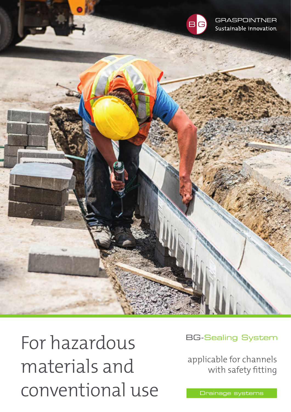

**GRASPOINTNER** Sustainable innovation.

For hazardous materials and conventional use **Drainage systems** 

BG-Sealing System

applicable for channels with safety fitting